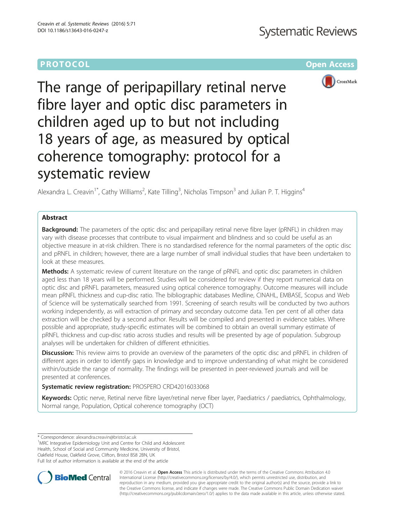# **PROTOCOL CONSUMING THE CONSUMING TEACHER CONSUMING THE CONSUMING TEACHER CONSUMING THE CONSUMING TEACHER CONSUMING**



The range of peripapillary retinal nerve fibre layer and optic disc parameters in children aged up to but not including 18 years of age, as measured by optical coherence tomography: protocol for a systematic review

Alexandra L. Creavin<sup>1\*</sup>, Cathy Williams<sup>2</sup>, Kate Tilling<sup>3</sup>, Nicholas Timpson<sup>3</sup> and Julian P. T. Higgins<sup>4</sup>

# Abstract

**Background:** The parameters of the optic disc and peripapillary retinal nerve fibre layer (pRNFL) in children may vary with disease processes that contribute to visual impairment and blindness and so could be useful as an objective measure in at-risk children. There is no standardised reference for the normal parameters of the optic disc and pRNFL in children; however, there are a large number of small individual studies that have been undertaken to look at these measures.

Methods: A systematic review of current literature on the range of pRNFL and optic disc parameters in children aged less than 18 years will be performed. Studies will be considered for review if they report numerical data on optic disc and pRNFL parameters, measured using optical coherence tomography. Outcome measures will include mean pRNFL thickness and cup-disc ratio. The bibliographic databases Medline, CINAHL, EMBASE, Scopus and Web of Science will be systematically searched from 1991. Screening of search results will be conducted by two authors working independently, as will extraction of primary and secondary outcome data. Ten per cent of all other data extraction will be checked by a second author. Results will be compiled and presented in evidence tables. Where possible and appropriate, study-specific estimates will be combined to obtain an overall summary estimate of pRNFL thickness and cup-disc ratio across studies and results will be presented by age of population. Subgroup analyses will be undertaken for children of different ethnicities.

**Discussion:** This review aims to provide an overview of the parameters of the optic disc and pRNFL in children of different ages in order to identify gaps in knowledge and to improve understanding of what might be considered within/outside the range of normality. The findings will be presented in peer-reviewed journals and will be presented at conferences.

Systematic review registration: PROSPERO [CRD42016033068](http://www.crd.york.ac.uk/PROSPERO/display_record.asp?ID=CRD42016033068)

Keywords: Optic nerve, Retinal nerve fibre layer/retinal nerve fiber layer, Paediatrics / paediatrics, Ophthalmology, Normal range, Population, Optical coherence tomography (OCT)

\* Correspondence: [alexandra.creavin@bristol.ac.uk](mailto:alexandra.creavin@bristol.ac.uk) <sup>1</sup>

<sup>1</sup>MRC Integrative Epidemiology Unit and Centre for Child and Adolescent Health, School of Social and Community Medicine, University of Bristol, Oakfield House, Oakfield Grove, Clifton, Bristol BS8 2BN, UK Full list of author information is available at the end of the article



© 2016 Creavin et al. Open Access This article is distributed under the terms of the Creative Commons Attribution 4.0 International License [\(http://creativecommons.org/licenses/by/4.0/](http://creativecommons.org/licenses/by/4.0/)), which permits unrestricted use, distribution, and reproduction in any medium, provided you give appropriate credit to the original author(s) and the source, provide a link to the Creative Commons license, and indicate if changes were made. The Creative Commons Public Domain Dedication waiver [\(http://creativecommons.org/publicdomain/zero/1.0/](http://creativecommons.org/publicdomain/zero/1.0/)) applies to the data made available in this article, unless otherwise stated.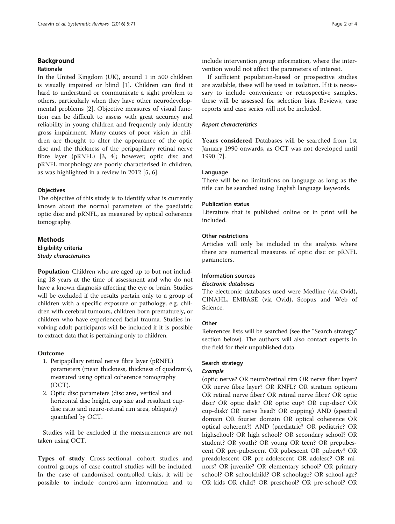# Background

# Rationale

In the United Kingdom (UK), around 1 in 500 children is visually impaired or blind [[1\]](#page-3-0). Children can find it hard to understand or communicate a sight problem to others, particularly when they have other neurodevelopmental problems [\[2\]](#page-3-0). Objective measures of visual function can be difficult to assess with great accuracy and reliability in young children and frequently only identify gross impairment. Many causes of poor vision in children are thought to alter the appearance of the optic disc and the thickness of the peripapillary retinal nerve fibre layer (pRNFL) [\[3](#page-3-0), [4\]](#page-3-0); however, optic disc and pRNFL morphology are poorly characterised in children, as was highlighted in a review in 2012 [\[5, 6\]](#page-3-0).

### **Objectives**

The objective of this study is to identify what is currently known about the normal parameters of the paediatric optic disc and pRNFL, as measured by optical coherence tomography.

# Methods

Eligibility criteria Study characteristics

Population Children who are aged up to but not including 18 years at the time of assessment and who do not have a known diagnosis affecting the eye or brain. Studies will be excluded if the results pertain only to a group of children with a specific exposure or pathology, e.g. children with cerebral tumours, children born prematurely, or children who have experienced facial trauma. Studies involving adult participants will be included if it is possible to extract data that is pertaining only to children.

# Outcome

- 1. Peripapillary retinal nerve fibre layer (pRNFL) parameters (mean thickness, thickness of quadrants), measured using optical coherence tomography (OCT).
- 2. Optic disc parameters (disc area, vertical and horizontal disc height, cup size and resultant cupdisc ratio and neuro-retinal rim area, obliquity) quantified by OCT.

Studies will be excluded if the measurements are not taken using OCT.

Types of study Cross-sectional, cohort studies and control groups of case-control studies will be included. In the case of randomised controlled trials, it will be possible to include control-arm information and to include intervention group information, where the intervention would not affect the parameters of interest.

If sufficient population-based or prospective studies are available, these will be used in isolation. If it is necessary to include convenience or retrospective samples, these will be assessed for selection bias. Reviews, case reports and case series will not be included.

#### Report characteristics

Years considered Databases will be searched from 1st January 1990 onwards, as OCT was not developed until 1990 [\[7](#page-3-0)].

### Language

There will be no limitations on language as long as the title can be searched using English language keywords.

### Publication status

Literature that is published online or in print will be included.

## Other restrictions

Articles will only be included in the analysis where there are numerical measures of optic disc or pRNFL parameters.

#### Information sources

## Electronic databases

The electronic databases used were Medline (via Ovid), CINAHL, EMBASE (via Ovid), Scopus and Web of Science.

#### **Other**

References lists will be searched (see the "Search strategy" section below). The authors will also contact experts in the field for their unpublished data.

## Search strategy

### Example

(optic nerve? OR neuro?retinal rim OR nerve fiber layer? OR nerve fibre layer? OR RNFL? OR stratum opticum OR retinal nerve fiber? OR retinal nerve fibre? OR optic disc? OR optic disk? OR optic cup? OR cup-disc? OR cup-disk? OR nerve head? OR cupping) AND (spectral domain OR fourier domain OR optical coherence OR optical coherent?) AND (paediatric? OR pediatric? OR highschool? OR high school? OR secondary school? OR student? OR youth? OR young OR teen? OR prepubescent OR pre-pubescent OR pubescent OR puberty? OR preadolescent OR pre-adolescent OR adolesc? OR minors? OR juvenile? OR elementary school? OR primary school? OR schoolchild? OR schoolage? OR school-age? OR kids OR child? OR preschool? OR pre-school? OR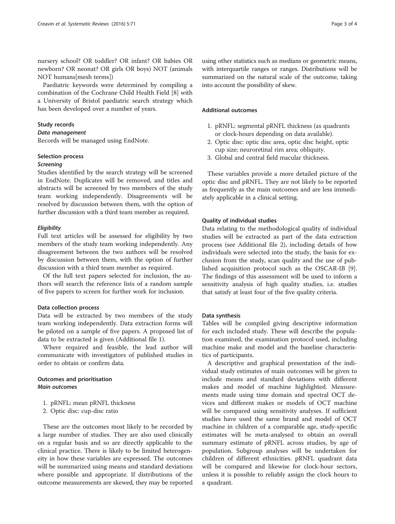nursery school? OR toddler? OR infant? OR babies OR newborn? OR neonat? OR girls OR boys) NOT (animals NOT humans[mesh terms])

Paediatric keywords were determined by compiling a combination of the Cochrane Child Health Field [[8\]](#page-3-0) with a University of Bristol paediatric search strategy which has been developed over a number of years.

# Study records

# Data management

Records will be managed using EndNote.

### Selection process

#### Screening

Studies identified by the search strategy will be screened in EndNote. Duplicates will be removed, and titles and abstracts will be screened by two members of the study team working independently. Disagreements will be resolved by discussion between them, with the option of further discussion with a third team member as required.

## **Eligibility**

Full text articles will be assessed for eligibility by two members of the study team working independently. Any disagreement between the two authors will be resolved by discussion between them, with the option of further discussion with a third team member as required.

Of the full text papers selected for inclusion, the authors will search the reference lists of a random sample of five papers to screen for further work for inclusion.

### Data collection process

Data will be extracted by two members of the study team working independently. Data extraction forms will be piloted on a sample of five papers. A proposed list of data to be extracted is given (Additional file [1](#page-3-0)).

Where required and feasible, the lead author will communicate with investigators of published studies in order to obtain or confirm data.

# Outcomes and prioritisation Main outcomes

- 1. pRNFL: mean pRNFL thickness
- 2. Optic disc: cup-disc ratio

These are the outcomes most likely to be recorded by a large number of studies. They are also used clinically on a regular basis and so are directly applicable to the clinical practice. There is likely to be limited heterogeneity in how these variables are expressed. The outcomes will be summarized using means and standard deviations where possible and appropriate. If distributions of the outcome measurements are skewed, they may be reported

using other statistics such as medians or geometric means, with interquartile ranges or ranges. Distributions will be summarized on the natural scale of the outcome, taking into account the possibility of skew.

### Additional outcomes

- 1. pRNFL: segmental pRNFL thickness (as quadrants or clock-hours depending on data available).
- 2. Optic disc: optic disc area, optic disc height, optic cup size; neuroretinal rim area; obliquity.
- 3. Global and central field macular thickness.

These variables provide a more detailed picture of the optic disc and pRNFL. They are not likely to be reported as frequently as the main outcomes and are less immediately applicable in a clinical setting.

## Quality of individual studies

Data relating to the methodological quality of individual studies will be extracted as part of the data extraction process (see Additional file [2](#page-3-0)), including details of how individuals were selected into the study, the basis for exclusion from the study, scan quality and the use of published acquisition protocol such as the OSCAR-IB [\[9](#page-3-0)]. The findings of this assessment will be used to inform a sensitivity analysis of high quality studies, i.e. studies that satisfy at least four of the five quality criteria.

## Data synthesis

Tables will be compiled giving descriptive information for each included study. These will describe the population examined, the examination protocol used, including machine make and model and the baseline characteristics of participants.

A descriptive and graphical presentation of the individual study estimates of main outcomes will be given to include means and standard deviations with different makes and model of machine highlighted. Measurements made using time domain and spectral OCT devices and different makes or models of OCT machine will be compared using sensitivity analyses. If sufficient studies have used the same brand and model of OCT machine in children of a comparable age, study-specific estimates will be meta-analysed to obtain an overall summary estimate of pRNFL across studies, by age of population. Subgroup analyses will be undertaken for children of different ethnicities. pRNFL quadrant data will be compared and likewise for clock-hour sectors, unless it is possible to reliably assign the clock hours to a quadrant.